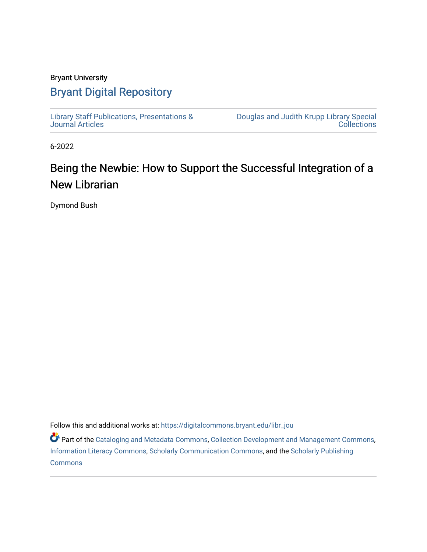#### Bryant University

#### [Bryant Digital Repository](https://digitalcommons.bryant.edu/)

[Library Staff Publications, Presentations &](https://digitalcommons.bryant.edu/libr_jou) [Journal Articles](https://digitalcommons.bryant.edu/libr_jou) 

[Douglas and Judith Krupp Library Special](https://digitalcommons.bryant.edu/library)  **Collections** 

6-2022

### Being the Newbie: How to Support the Successful Integration of a New Librarian

Dymond Bush

Follow this and additional works at: [https://digitalcommons.bryant.edu/libr\\_jou](https://digitalcommons.bryant.edu/libr_jou?utm_source=digitalcommons.bryant.edu%2Flibr_jou%2F12&utm_medium=PDF&utm_campaign=PDFCoverPages)

**P** Part of the [Cataloging and Metadata Commons,](https://network.bepress.com/hgg/discipline/1270?utm_source=digitalcommons.bryant.edu%2Flibr_jou%2F12&utm_medium=PDF&utm_campaign=PDFCoverPages) [Collection Development and Management Commons,](https://network.bepress.com/hgg/discipline/1271?utm_source=digitalcommons.bryant.edu%2Flibr_jou%2F12&utm_medium=PDF&utm_campaign=PDFCoverPages) [Information Literacy Commons,](https://network.bepress.com/hgg/discipline/1243?utm_source=digitalcommons.bryant.edu%2Flibr_jou%2F12&utm_medium=PDF&utm_campaign=PDFCoverPages) [Scholarly Communication Commons](https://network.bepress.com/hgg/discipline/1272?utm_source=digitalcommons.bryant.edu%2Flibr_jou%2F12&utm_medium=PDF&utm_campaign=PDFCoverPages), and the [Scholarly Publishing](https://network.bepress.com/hgg/discipline/1273?utm_source=digitalcommons.bryant.edu%2Flibr_jou%2F12&utm_medium=PDF&utm_campaign=PDFCoverPages)  **[Commons](https://network.bepress.com/hgg/discipline/1273?utm_source=digitalcommons.bryant.edu%2Flibr_jou%2F12&utm_medium=PDF&utm_campaign=PDFCoverPages)**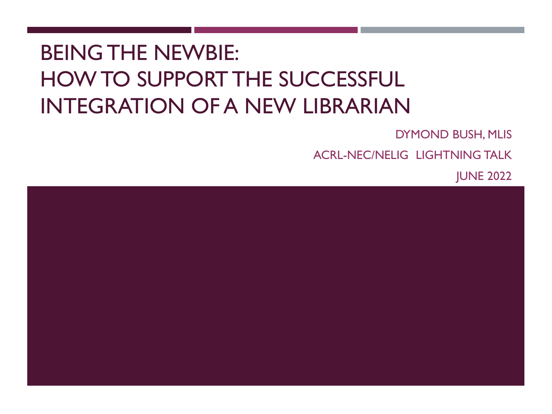## BEING THE NEWBIE: HOW TO SUPPORT THE SUCCESSFUL INTEGRATION OF A NEW LIBRARIAN

DYMOND BUSH, MLIS

ACRL-NEC/NELIG LIGHTNING TALK

JUNE 2022

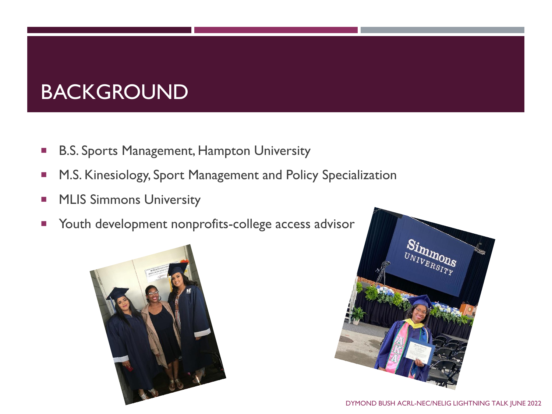## BACKGROUND

- **B.S. Sports Management, Hampton University**
- **M.S. Kinesiology, Sport Management and Policy Specialization**
- **MLIS Simmons University**
- **Theory Mullet** Youth development nonprofits-college access advisor



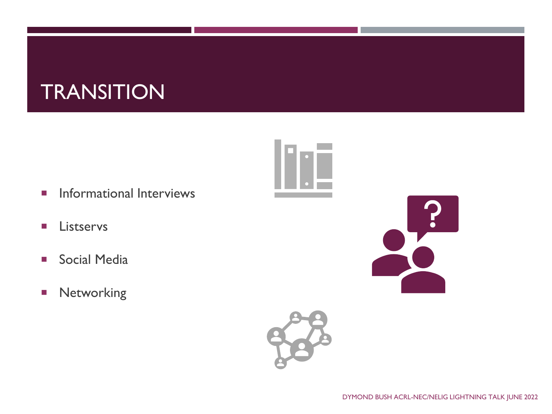## **TRANSITION**

- **Informational Interviews**
- **Listservs**
- **Social Media**
- **Networking**



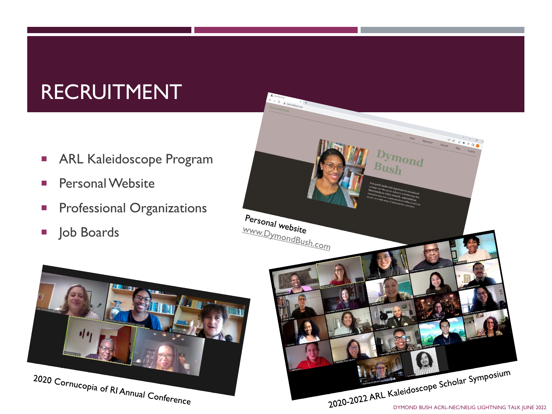## RECRUITMENT

- **ARL Kaleidoscope Program**
- **Personal Website**
- **Professional Organizations**
- **Job Boards**



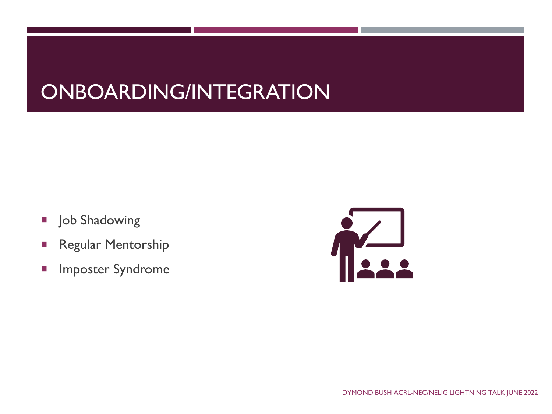## ONBOARDING/INTEGRATION

- **Job Shadowing**
- **Regular Mentorship**
- **Imposter Syndrome**

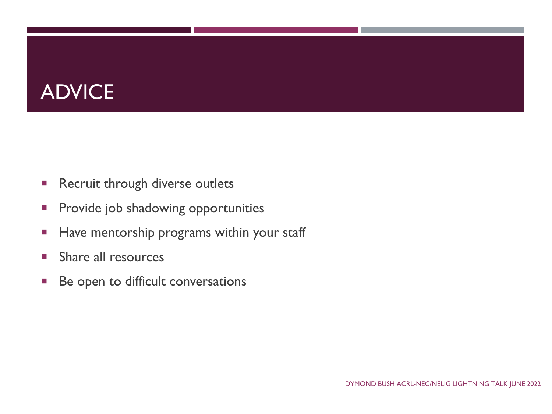## ADVICE

- **Recruit through diverse outlets**
- **Provide job shadowing opportunities**
- Have mentorship programs within your staff
- **Share all resources**
- **Be open to difficult conversations**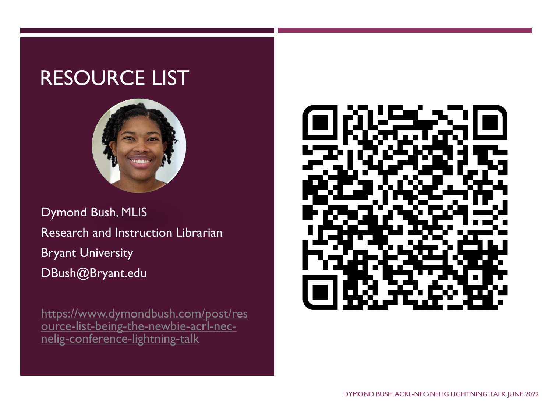### RESOURCE LIST



Dymond Bush, MLIS Research and Instruction Librarian Bryant University DBush@Bryant.edu

https://www.dymondbush.com/post/res [ource-list-being-the-newbie-acrl-nec](https://www.dymondbush.com/post/resource-list-being-the-newbie-acrl-nec-nelig-conference-lightning-talk)nelig-conference-lightning-talk